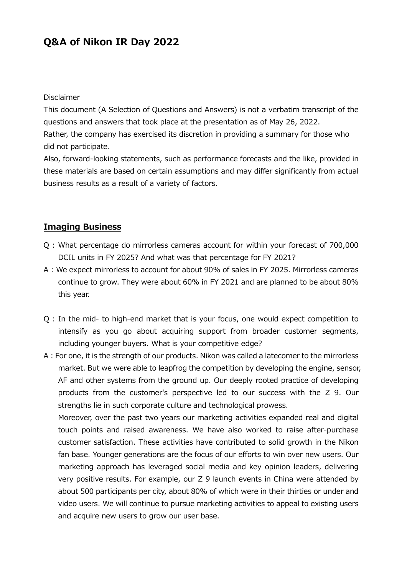# **Q&A of Nikon IR Day 2022**

#### Disclaimer

This document (A Selection of Questions and Answers) is not a verbatim transcript of the questions and answers that took place at the presentation as of May 26, 2022.

Rather, the company has exercised its discretion in providing a summary for those who did not participate.

Also, forward-looking statements, such as performance forecasts and the like, provided in these materials are based on certain assumptions and may differ significantly from actual business results as a result of a variety of factors.

# **Imaging Business**

- Q : What percentage do mirrorless cameras account for within your forecast of 700,000 DCIL units in FY 2025? And what was that percentage for FY 2021?
- A : We expect mirrorless to account for about 90% of sales in FY 2025. Mirrorless cameras continue to grow. They were about 60% in FY 2021 and are planned to be about 80% this year.
- Q : In the mid- to high-end market that is your focus, one would expect competition to intensify as you go about acquiring support from broader customer segments, including younger buyers. What is your competitive edge?
- A : For one, it is the strength of our products. Nikon was called a latecomer to the mirrorless market. But we were able to leapfrog the competition by developing the engine, sensor, AF and other systems from the ground up. Our deeply rooted practice of developing products from the customer's perspective led to our success with the Z 9. Our strengths lie in such corporate culture and technological prowess.

Moreover, over the past two years our marketing activities expanded real and digital touch points and raised awareness. We have also worked to raise after-purchase customer satisfaction. These activities have contributed to solid growth in the Nikon fan base. Younger generations are the focus of our efforts to win over new users. Our marketing approach has leveraged social media and key opinion leaders, delivering very positive results. For example, our Z 9 launch events in China were attended by about 500 participants per city, about 80% of which were in their thirties or under and video users. We will continue to pursue marketing activities to appeal to existing users and acquire new users to grow our user base.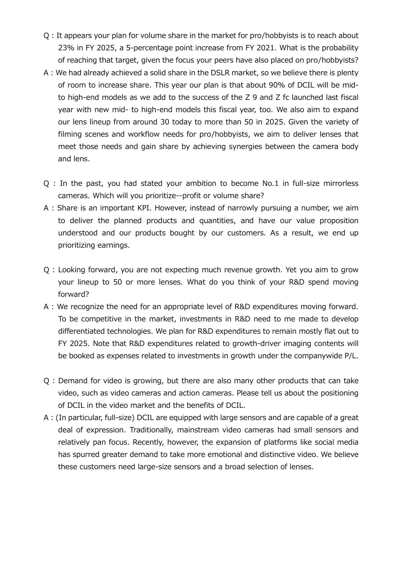- Q : It appears your plan for volume share in the market for pro/hobbyists is to reach about 23% in FY 2025, a 5-percentage point increase from FY 2021. What is the probability of reaching that target, given the focus your peers have also placed on pro/hobbyists?
- A : We had already achieved a solid share in the DSLR market, so we believe there is plenty of room to increase share. This year our plan is that about 90% of DCIL will be midto high-end models as we add to the success of the Z 9 and Z fc launched last fiscal year with new mid- to high-end models this fiscal year, too. We also aim to expand our lens lineup from around 30 today to more than 50 in 2025. Given the variety of filming scenes and workflow needs for pro/hobbyists, we aim to deliver lenses that meet those needs and gain share by achieving synergies between the camera body and lens.
- Q : In the past, you had stated your ambition to become No.1 in full-size mirrorless cameras. Which will you prioritize--profit or volume share?
- A : Share is an important KPI. However, instead of narrowly pursuing a number, we aim to deliver the planned products and quantities, and have our value proposition understood and our products bought by our customers. As a result, we end up prioritizing earnings.
- Q : Looking forward, you are not expecting much revenue growth. Yet you aim to grow your lineup to 50 or more lenses. What do you think of your R&D spend moving forward?
- A : We recognize the need for an appropriate level of R&D expenditures moving forward. To be competitive in the market, investments in R&D need to me made to develop differentiated technologies. We plan for R&D expenditures to remain mostly flat out to FY 2025. Note that R&D expenditures related to growth-driver imaging contents will be booked as expenses related to investments in growth under the companywide P/L.
- Q : Demand for video is growing, but there are also many other products that can take video, such as video cameras and action cameras. Please tell us about the positioning of DCIL in the video market and the benefits of DCIL.
- A : (In particular, full-size) DCIL are equipped with large sensors and are capable of a great deal of expression. Traditionally, mainstream video cameras had small sensors and relatively pan focus. Recently, however, the expansion of platforms like social media has spurred greater demand to take more emotional and distinctive video. We believe these customers need large-size sensors and a broad selection of lenses.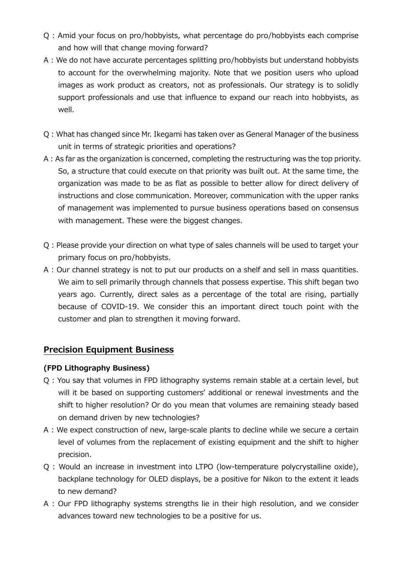- Q : Amid your focus on pro/hobbyists, what percentage do pro/hobbyists each comprise and how will that change moving forward?
- A : We do not have accurate percentages splitting pro/hobbyists but understand hobbyists to account for the overwhelming majority. Note that we position users who upload images as work product as creators, not as professionals. Our strategy is to solidly support professionals and use that influence to expand our reach into hobbyists, as well.
- Q : What has changed since Mr. Ikegami has taken over as General Manager of the business unit in terms of strategic priorities and operations?
- A : As far as the organization is concerned, completing the restructuring was the top priority. So, a structure that could execute on that priority was built out. At the same time, the organization was made to be as flat as possible to better allow for direct delivery of instructions and close communication. Moreover, communication with the upper ranks of management was implemented to pursue business operations based on consensus with management. These were the biggest changes.
- Q : Please provide your direction on what type of sales channels will be used to target your primary focus on pro/hobbyists.
- A : Our channel strategy is not to put our products on a shelf and sell in mass quantities. We aim to sell primarily through channels that possess expertise. This shift began two years ago. Currently, direct sales as a percentage of the total are rising, partially because of COVID-19. We consider this an important direct touch point with the customer and plan to strengthen it moving forward.

# **Precision Equipment Business**

### **(FPD Lithography Business)**

- Q : You say that volumes in FPD lithography systems remain stable at a certain level, but will it be based on supporting customers' additional or renewal investments and the shift to higher resolution? Or do you mean that volumes are remaining steady based on demand driven by new technologies?
- A : We expect construction of new, large-scale plants to decline while we secure a certain level of volumes from the replacement of existing equipment and the shift to higher precision.
- Q : Would an increase in investment into LTPO (low-temperature polycrystalline oxide), backplane technology for OLED displays, be a positive for Nikon to the extent it leads to new demand?
- A : Our FPD lithography systems strengths lie in their high resolution, and we consider advances toward new technologies to be a positive for us.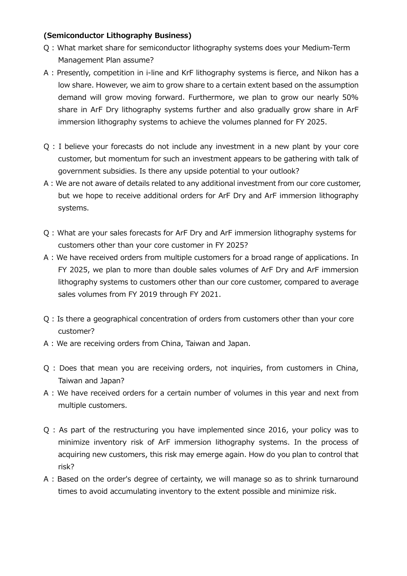#### **(Semiconductor Lithography Business)**

- Q : What market share for semiconductor lithography systems does your Medium-Term Management Plan assume?
- A : Presently, competition in i-line and KrF lithography systems is fierce, and Nikon has a low share. However, we aim to grow share to a certain extent based on the assumption demand will grow moving forward. Furthermore, we plan to grow our nearly 50% share in ArF Dry lithography systems further and also gradually grow share in ArF immersion lithography systems to achieve the volumes planned for FY 2025.
- Q : I believe your forecasts do not include any investment in a new plant by your core customer, but momentum for such an investment appears to be gathering with talk of government subsidies. Is there any upside potential to your outlook?
- A : We are not aware of details related to any additional investment from our core customer, but we hope to receive additional orders for ArF Dry and ArF immersion lithography systems.
- Q : What are your sales forecasts for ArF Dry and ArF immersion lithography systems for customers other than your core customer in FY 2025?
- A : We have received orders from multiple customers for a broad range of applications. In FY 2025, we plan to more than double sales volumes of ArF Dry and ArF immersion lithography systems to customers other than our core customer, compared to average sales volumes from FY 2019 through FY 2021.
- Q : Is there a geographical concentration of orders from customers other than your core customer?
- A : We are receiving orders from China, Taiwan and Japan.
- Q : Does that mean you are receiving orders, not inquiries, from customers in China, Taiwan and Japan?
- A : We have received orders for a certain number of volumes in this year and next from multiple customers.
- Q : As part of the restructuring you have implemented since 2016, your policy was to minimize inventory risk of ArF immersion lithography systems. In the process of acquiring new customers, this risk may emerge again. How do you plan to control that risk?
- A : Based on the order's degree of certainty, we will manage so as to shrink turnaround times to avoid accumulating inventory to the extent possible and minimize risk.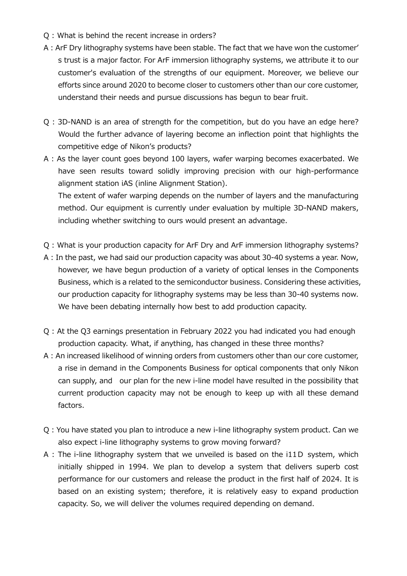- Q : What is behind the recent increase in orders?
- A : ArF Dry lithography systems have been stable. The fact that we have won the customer' s trust is a major factor. For ArF immersion lithography systems, we attribute it to our customer's evaluation of the strengths of our equipment. Moreover, we believe our efforts since around 2020 to become closer to customers other than our core customer, understand their needs and pursue discussions has begun to bear fruit.
- Q : 3D-NAND is an area of strength for the competition, but do you have an edge here? Would the further advance of layering become an inflection point that highlights the competitive edge of Nikon's products?
- A : As the layer count goes beyond 100 layers, wafer warping becomes exacerbated. We have seen results toward solidly improving precision with our high-performance alignment station iAS (inline Alignment Station). The extent of wafer warping depends on the number of layers and the manufacturing

method. Our equipment is currently under evaluation by multiple 3D-NAND makers, including whether switching to ours would present an advantage.

- Q : What is your production capacity for ArF Dry and ArF immersion lithography systems?
- A : In the past, we had said our production capacity was about 30-40 systems a year. Now, however, we have begun production of a variety of optical lenses in the Components Business, which is a related to the semiconductor business. Considering these activities, our production capacity for lithography systems may be less than 30-40 systems now. We have been debating internally how best to add production capacity.
- Q : At the Q3 earnings presentation in February 2022 you had indicated you had enough production capacity. What, if anything, has changed in these three months?
- A : An increased likelihood of winning orders from customers other than our core customer, a rise in demand in the Components Business for optical components that only Nikon can supply, and our plan for the new i-line model have resulted in the possibility that current production capacity may not be enough to keep up with all these demand factors.
- Q : You have stated you plan to introduce a new i-line lithography system product. Can we also expect i-line lithography systems to grow moving forward?
- A : The i-line lithography system that we unveiled is based on the i11D system, which initially shipped in 1994. We plan to develop a system that delivers superb cost performance for our customers and release the product in the first half of 2024. It is based on an existing system; therefore, it is relatively easy to expand production capacity. So, we will deliver the volumes required depending on demand.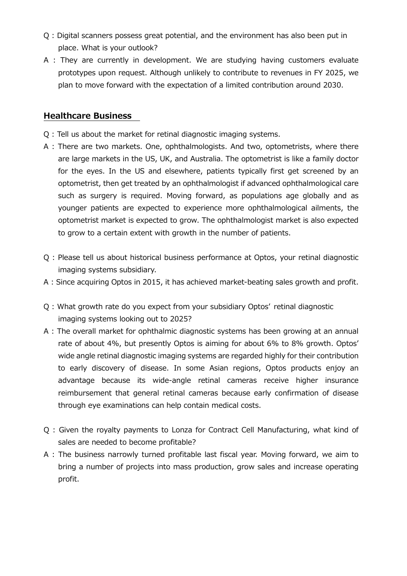- Q : Digital scanners possess great potential, and the environment has also been put in place. What is your outlook?
- A : They are currently in development. We are studying having customers evaluate prototypes upon request. Although unlikely to contribute to revenues in FY 2025, we plan to move forward with the expectation of a limited contribution around 2030.

# **Healthcare Business**

- Q : Tell us about the market for retinal diagnostic imaging systems.
- A : There are two markets. One, ophthalmologists. And two, optometrists, where there are large markets in the US, UK, and Australia. The optometrist is like a family doctor for the eyes. In the US and elsewhere, patients typically first get screened by an optometrist, then get treated by an ophthalmologist if advanced ophthalmological care such as surgery is required. Moving forward, as populations age globally and as younger patients are expected to experience more ophthalmological ailments, the optometrist market is expected to grow. The ophthalmologist market is also expected to grow to a certain extent with growth in the number of patients.
- Q : Please tell us about historical business performance at Optos, your retinal diagnostic imaging systems subsidiary.
- A : Since acquiring Optos in 2015, it has achieved market-beating sales growth and profit.
- Q : What growth rate do you expect from your subsidiary Optos' retinal diagnostic imaging systems looking out to 2025?
- A : The overall market for ophthalmic diagnostic systems has been growing at an annual rate of about 4%, but presently Optos is aiming for about 6% to 8% growth. Optos' wide angle retinal diagnostic imaging systems are regarded highly for their contribution to early discovery of disease. In some Asian regions, Optos products enjoy an advantage because its wide-angle retinal cameras receive higher insurance reimbursement that general retinal cameras because early confirmation of disease through eye examinations can help contain medical costs.
- Q : Given the royalty payments to Lonza for Contract Cell Manufacturing, what kind of sales are needed to become profitable?
- A : The business narrowly turned profitable last fiscal year. Moving forward, we aim to bring a number of projects into mass production, grow sales and increase operating profit.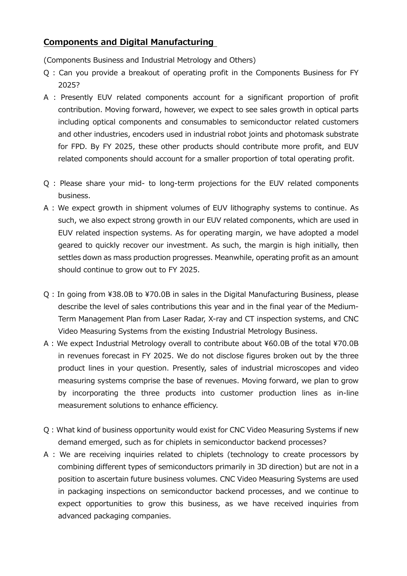## **Components and Digital Manufacturing**

(Components Business and Industrial Metrology and Others)

- Q : Can you provide a breakout of operating profit in the Components Business for FY 2025?
- A : Presently EUV related components account for a significant proportion of profit contribution. Moving forward, however, we expect to see sales growth in optical parts including optical components and consumables to semiconductor related customers and other industries, encoders used in industrial robot joints and photomask substrate for FPD. By FY 2025, these other products should contribute more profit, and EUV related components should account for a smaller proportion of total operating profit.
- Q : Please share your mid- to long-term projections for the EUV related components business.
- A : We expect growth in shipment volumes of EUV lithography systems to continue. As such, we also expect strong growth in our EUV related components, which are used in EUV related inspection systems. As for operating margin, we have adopted a model geared to quickly recover our investment. As such, the margin is high initially, then settles down as mass production progresses. Meanwhile, operating profit as an amount should continue to grow out to FY 2025.
- Q : In going from ¥38.0B to ¥70.0B in sales in the Digital Manufacturing Business, please describe the level of sales contributions this year and in the final year of the Medium-Term Management Plan from Laser Radar, X-ray and CT inspection systems, and CNC Video Measuring Systems from the existing Industrial Metrology Business.
- A : We expect Industrial Metrology overall to contribute about ¥60.0B of the total ¥70.0B in revenues forecast in FY 2025. We do not disclose figures broken out by the three product lines in your question. Presently, sales of industrial microscopes and video measuring systems comprise the base of revenues. Moving forward, we plan to grow by incorporating the three products into customer production lines as in-line measurement solutions to enhance efficiency.
- Q : What kind of business opportunity would exist for CNC Video Measuring Systems if new demand emerged, such as for chiplets in semiconductor backend processes?
- A : We are receiving inquiries related to chiplets (technology to create processors by combining different types of semiconductors primarily in 3D direction) but are not in a position to ascertain future business volumes. CNC Video Measuring Systems are used in packaging inspections on semiconductor backend processes, and we continue to expect opportunities to grow this business, as we have received inquiries from advanced packaging companies.